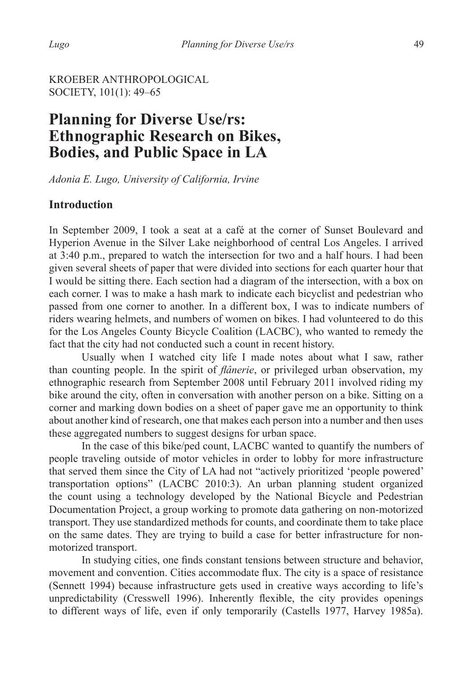### KROEBER ANTHROPOLOGICAL SOCIETY, 101(1): 49–65

# **Planning for Diverse Use/rs: Ethnographic Research on Bikes, Bodies, and Public Space in LA**

*Adonia E. Lugo, University of California, Irvine*

#### **Introduction**

In September 2009, I took a seat at a café at the corner of Sunset Boulevard and Hyperion Avenue in the Silver Lake neighborhood of central Los Angeles. I arrived at 3:40 p.m., prepared to watch the intersection for two and a half hours. I had been given several sheets of paper that were divided into sections for each quarter hour that I would be sitting there. Each section had a diagram of the intersection, with a box on each corner. I was to make a hash mark to indicate each bicyclist and pedestrian who passed from one corner to another. In a different box, I was to indicate numbers of riders wearing helmets, and numbers of women on bikes. I had volunteered to do this for the Los Angeles County Bicycle Coalition (LACBC), who wanted to remedy the fact that the city had not conducted such a count in recent history.

Usually when I watched city life I made notes about what I saw, rather than counting people. In the spirit of *flânerie*, or privileged urban observation, my ethnographic research from September 2008 until February 2011 involved riding my bike around the city, often in conversation with another person on a bike. Sitting on a corner and marking down bodies on a sheet of paper gave me an opportunity to think about another kind of research, one that makes each person into a number and then uses these aggregated numbers to suggest designs for urban space.

In the case of this bike/ped count, LACBC wanted to quantify the numbers of people traveling outside of motor vehicles in order to lobby for more infrastructure that served them since the City of LA had not "actively prioritized 'people powered' transportation options" (LACBC 2010:3). An urban planning student organized the count using a technology developed by the National Bicycle and Pedestrian Documentation Project, a group working to promote data gathering on non-motorized transport. They use standardized methods for counts, and coordinate them to take place on the same dates. They are trying to build a case for better infrastructure for nonmotorized transport.

 In studying cities, one finds constant tensions between structure and behavior, movement and convention. Cities accommodate flux. The city is a space of resistance (Sennett 1994) because infrastructure gets used in creative ways according to life's unpredictability (Cresswell 1996). Inherently flexible, the city provides openings to different ways of life, even if only temporarily (Castells 1977, Harvey 1985a).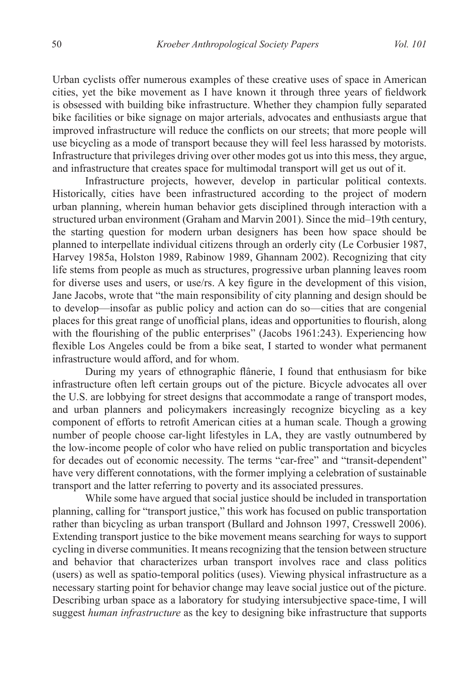Urban cyclists offer numerous examples of these creative uses of space in American cities, yet the bike movement as I have known it through three years of fieldwork is obsessed with building bike infrastructure. Whether they champion fully separated bike facilities or bike signage on major arterials, advocates and enthusiasts argue that improved infrastructure will reduce the conflicts on our streets; that more people will use bicycling as a mode of transport because they will feel less harassed by motorists. Infrastructure that privileges driving over other modes got us into this mess, they argue, and infrastructure that creates space for multimodal transport will get us out of it.

Infrastructure projects, however, develop in particular political contexts. Historically, cities have been infrastructured according to the project of modern urban planning, wherein human behavior gets disciplined through interaction with a structured urban environment (Graham and Marvin 2001). Since the mid–19th century, the starting question for modern urban designers has been how space should be planned to interpellate individual citizens through an orderly city (Le Corbusier 1987, Harvey 1985a, Holston 1989, Rabinow 1989, Ghannam 2002). Recognizing that city life stems from people as much as structures, progressive urban planning leaves room for diverse uses and users, or use/rs. A key figure in the development of this vision, Jane Jacobs, wrote that "the main responsibility of city planning and design should be to develop—insofar as public policy and action can do so—cities that are congenial places for this great range of unofficial plans, ideas and opportunities to flourish, along with the flourishing of the public enterprises" (Jacobs 1961:243). Experiencing how flexible Los Angeles could be from a bike seat, I started to wonder what permanent infrastructure would afford, and for whom.

 During my years of ethnographic flânerie, I found that enthusiasm for bike infrastructure often left certain groups out of the picture. Bicycle advocates all over the U.S. are lobbying for street designs that accommodate a range of transport modes, and urban planners and policymakers increasingly recognize bicycling as a key component of efforts to retrofit American cities at a human scale. Though a growing number of people choose car-light lifestyles in LA, they are vastly outnumbered by the low-income people of color who have relied on public transportation and bicycles for decades out of economic necessity. The terms "car-free" and "transit-dependent" have very different connotations, with the former implying a celebration of sustainable transport and the latter referring to poverty and its associated pressures.

While some have argued that social justice should be included in transportation planning, calling for "transport justice," this work has focused on public transportation rather than bicycling as urban transport (Bullard and Johnson 1997, Cresswell 2006). Extending transport justice to the bike movement means searching for ways to support cycling in diverse communities. It means recognizing that the tension between structure and behavior that characterizes urban transport involves race and class politics (users) as well as spatio-temporal politics (uses). Viewing physical infrastructure as a necessary starting point for behavior change may leave social justice out of the picture. Describing urban space as a laboratory for studying intersubjective space-time, I will suggest *human infrastructure* as the key to designing bike infrastructure that supports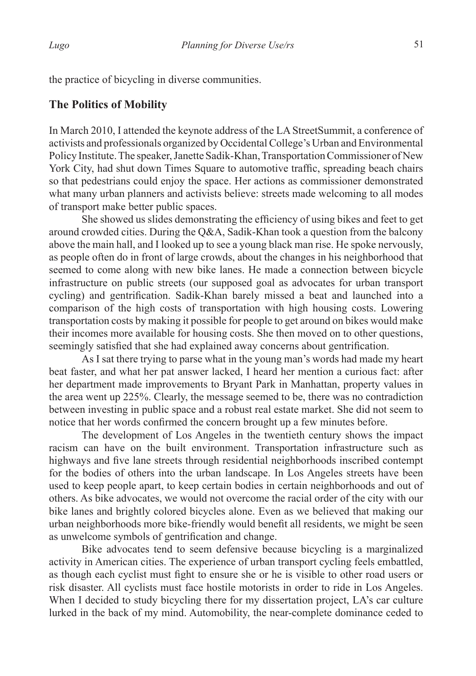# **The Politics of Mobility**

In March 2010, I attended the keynote address of the LA StreetSummit, a conference of activists and professionals organized by Occidental College's Urban and Environmental Policy Institute. The speaker, Janette Sadik-Khan, Transportation Commissioner of New York City, had shut down Times Square to automotive traffic, spreading beach chairs so that pedestrians could enjoy the space. Her actions as commissioner demonstrated what many urban planners and activists believe: streets made welcoming to all modes of transport make better public spaces.

 She showed us slides demonstrating the efficiency of using bikes and feet to get around crowded cities. During the Q&A, Sadik-Khan took a question from the balcony above the main hall, and I looked up to see a young black man rise. He spoke nervously, as people often do in front of large crowds, about the changes in his neighborhood that seemed to come along with new bike lanes. He made a connection between bicycle infrastructure on public streets (our supposed goal as advocates for urban transport cycling) and gentrification. Sadik-Khan barely missed a beat and launched into a comparison of the high costs of transportation with high housing costs. Lowering transportation costs by making it possible for people to get around on bikes would make their incomes more available for housing costs. She then moved on to other questions, seemingly satisfied that she had explained away concerns about gentrification.

As I sat there trying to parse what in the young man's words had made my heart beat faster, and what her pat answer lacked, I heard her mention a curious fact: after her department made improvements to Bryant Park in Manhattan, property values in the area went up 225%. Clearly, the message seemed to be, there was no contradiction between investing in public space and a robust real estate market. She did not seem to notice that her words confirmed the concern brought up a few minutes before.

The development of Los Angeles in the twentieth century shows the impact racism can have on the built environment. Transportation infrastructure such as highways and five lane streets through residential neighborhoods inscribed contempt for the bodies of others into the urban landscape. In Los Angeles streets have been used to keep people apart, to keep certain bodies in certain neighborhoods and out of others. As bike advocates, we would not overcome the racial order of the city with our bike lanes and brightly colored bicycles alone. Even as we believed that making our urban neighborhoods more bike-friendly would benefit all residents, we might be seen as unwelcome symbols of gentrification and change.

Bike advocates tend to seem defensive because bicycling is a marginalized activity in American cities. The experience of urban transport cycling feels embattled, as though each cyclist must fight to ensure she or he is visible to other road users or risk disaster. All cyclists must face hostile motorists in order to ride in Los Angeles. When I decided to study bicycling there for my dissertation project, LA's car culture lurked in the back of my mind. Automobility, the near-complete dominance ceded to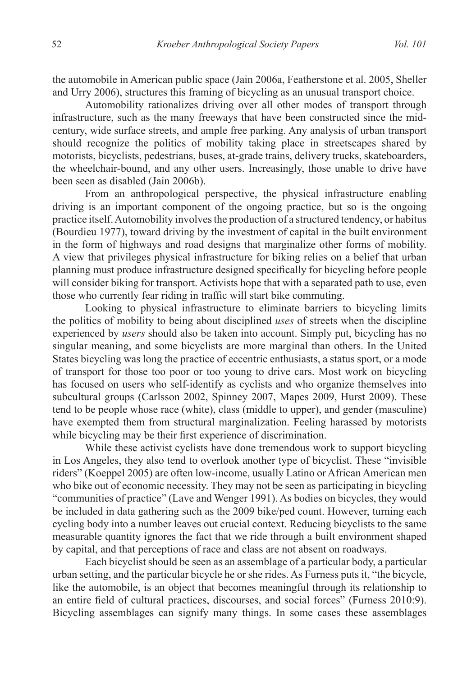the automobile in American public space (Jain 2006a, Featherstone et al. 2005, Sheller and Urry 2006), structures this framing of bicycling as an unusual transport choice.

Automobility rationalizes driving over all other modes of transport through infrastructure, such as the many freeways that have been constructed since the midcentury, wide surface streets, and ample free parking. Any analysis of urban transport should recognize the politics of mobility taking place in streetscapes shared by motorists, bicyclists, pedestrians, buses, at-grade trains, delivery trucks, skateboarders, the wheelchair-bound, and any other users. Increasingly, those unable to drive have been seen as disabled (Jain 2006b).

From an anthropological perspective, the physical infrastructure enabling driving is an important component of the ongoing practice, but so is the ongoing practice itself. Automobility involves the production of a structured tendency, or habitus (Bourdieu 1977), toward driving by the investment of capital in the built environment in the form of highways and road designs that marginalize other forms of mobility. A view that privileges physical infrastructure for biking relies on a belief that urban planning must produce infrastructure designed specifically for bicycling before people will consider biking for transport. Activists hope that with a separated path to use, even those who currently fear riding in traffic will start bike commuting.

Looking to physical infrastructure to eliminate barriers to bicycling limits the politics of mobility to being about disciplined *uses* of streets when the discipline experienced by *users* should also be taken into account. Simply put, bicycling has no singular meaning, and some bicyclists are more marginal than others. In the United States bicycling was long the practice of eccentric enthusiasts, a status sport, or a mode of transport for those too poor or too young to drive cars. Most work on bicycling has focused on users who self-identify as cyclists and who organize themselves into subcultural groups (Carlsson 2002, Spinney 2007, Mapes 2009, Hurst 2009). These tend to be people whose race (white), class (middle to upper), and gender (masculine) have exempted them from structural marginalization. Feeling harassed by motorists while bicycling may be their first experience of discrimination.

While these activist cyclists have done tremendous work to support bicycling in Los Angeles, they also tend to overlook another type of bicyclist. These "invisible riders" (Koeppel 2005) are often low-income, usually Latino or African American men who bike out of economic necessity. They may not be seen as participating in bicycling "communities of practice" (Lave and Wenger 1991). As bodies on bicycles, they would be included in data gathering such as the 2009 bike/ped count. However, turning each cycling body into a number leaves out crucial context. Reducing bicyclists to the same measurable quantity ignores the fact that we ride through a built environment shaped by capital, and that perceptions of race and class are not absent on roadways.

Each bicyclist should be seen as an assemblage of a particular body, a particular urban setting, and the particular bicycle he or she rides. As Furness puts it, "the bicycle, like the automobile, is an object that becomes meaningful through its relationship to an entire field of cultural practices, discourses, and social forces" (Furness 2010:9). Bicycling assemblages can signify many things. In some cases these assemblages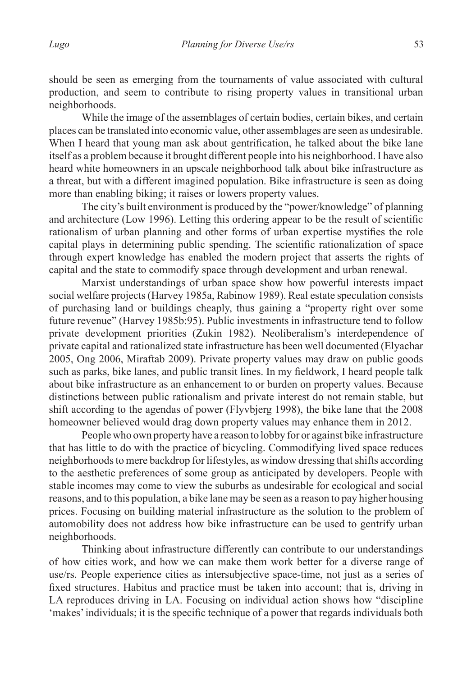should be seen as emerging from the tournaments of value associated with cultural production, and seem to contribute to rising property values in transitional urban neighborhoods.

While the image of the assemblages of certain bodies, certain bikes, and certain places can be translated into economic value, other assemblages are seen as undesirable. When I heard that young man ask about gentrification, he talked about the bike lane itself as a problem because it brought different people into his neighborhood. I have also heard white homeowners in an upscale neighborhood talk about bike infrastructure as a threat, but with a different imagined population. Bike infrastructure is seen as doing more than enabling biking; it raises or lowers property values.

The city's built environment is produced by the "power/knowledge" of planning and architecture (Low 1996). Letting this ordering appear to be the result of scientific rationalism of urban planning and other forms of urban expertise mystifies the role capital plays in determining public spending. The scientific rationalization of space through expert knowledge has enabled the modern project that asserts the rights of capital and the state to commodify space through development and urban renewal.

Marxist understandings of urban space show how powerful interests impact social welfare projects (Harvey 1985a, Rabinow 1989). Real estate speculation consists of purchasing land or buildings cheaply, thus gaining a "property right over some future revenue" (Harvey 1985b:95). Public investments in infrastructure tend to follow private development priorities (Zukin 1982). Neoliberalism's interdependence of private capital and rationalized state infrastructure has been well documented (Elyachar 2005, Ong 2006, Miraftab 2009). Private property values may draw on public goods such as parks, bike lanes, and public transit lines. In my fieldwork, I heard people talk about bike infrastructure as an enhancement to or burden on property values. Because distinctions between public rationalism and private interest do not remain stable, but shift according to the agendas of power (Flyvbjerg 1998), the bike lane that the 2008 homeowner believed would drag down property values may enhance them in 2012.

People who own property have a reason to lobby for or against bike infrastructure that has little to do with the practice of bicycling. Commodifying lived space reduces neighborhoods to mere backdrop for lifestyles, as window dressing that shifts according to the aesthetic preferences of some group as anticipated by developers. People with stable incomes may come to view the suburbs as undesirable for ecological and social reasons, and to this population, a bike lane may be seen as a reason to pay higher housing prices. Focusing on building material infrastructure as the solution to the problem of automobility does not address how bike infrastructure can be used to gentrify urban neighborhoods.

Thinking about infrastructure differently can contribute to our understandings of how cities work, and how we can make them work better for a diverse range of use/rs. People experience cities as intersubjective space-time, not just as a series of fixed structures. Habitus and practice must be taken into account; that is, driving in LA reproduces driving in LA. Focusing on individual action shows how "discipline 'makes'individuals; it is the specific technique of a power that regards individuals both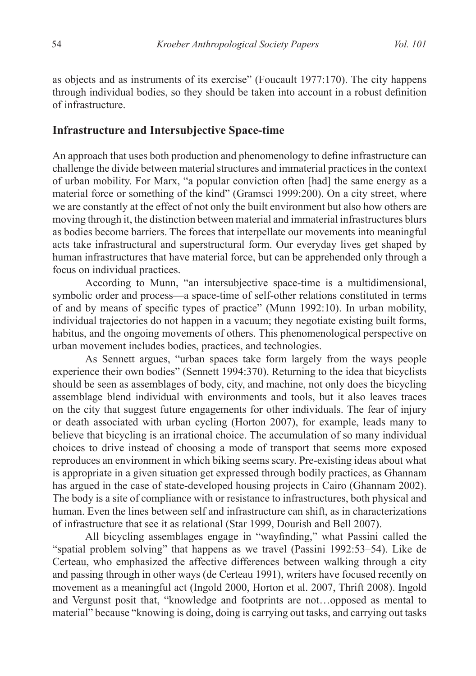as objects and as instruments of its exercise" (Foucault 1977:170). The city happens through individual bodies, so they should be taken into account in a robust definition of infrastructure.

#### **Infrastructure and Intersubjective Space-time**

An approach that uses both production and phenomenology to define infrastructure can challenge the divide between material structures and immaterial practices in the context of urban mobility. For Marx, "a popular conviction often [had] the same energy as a material force or something of the kind" (Gramsci 1999:200). On a city street, where we are constantly at the effect of not only the built environment but also how others are moving through it, the distinction between material and immaterial infrastructures blurs as bodies become barriers. The forces that interpellate our movements into meaningful acts take infrastructural and superstructural form. Our everyday lives get shaped by human infrastructures that have material force, but can be apprehended only through a focus on individual practices.

According to Munn, "an intersubjective space-time is a multidimensional, symbolic order and process—a space-time of self-other relations constituted in terms of and by means of specific types of practice" (Munn 1992:10). In urban mobility, individual trajectories do not happen in a vacuum; they negotiate existing built forms, habitus, and the ongoing movements of others. This phenomenological perspective on urban movement includes bodies, practices, and technologies.

As Sennett argues, "urban spaces take form largely from the ways people experience their own bodies" (Sennett 1994:370). Returning to the idea that bicyclists should be seen as assemblages of body, city, and machine, not only does the bicycling assemblage blend individual with environments and tools, but it also leaves traces on the city that suggest future engagements for other individuals. The fear of injury or death associated with urban cycling (Horton 2007), for example, leads many to believe that bicycling is an irrational choice. The accumulation of so many individual choices to drive instead of choosing a mode of transport that seems more exposed reproduces an environment in which biking seems scary. Pre-existing ideas about what is appropriate in a given situation get expressed through bodily practices, as Ghannam has argued in the case of state-developed housing projects in Cairo (Ghannam 2002). The body is a site of compliance with or resistance to infrastructures, both physical and human. Even the lines between self and infrastructure can shift, as in characterizations of infrastructure that see it as relational (Star 1999, Dourish and Bell 2007).

 All bicycling assemblages engage in "wayfinding," what Passini called the "spatial problem solving" that happens as we travel (Passini 1992:53–54). Like de Certeau, who emphasized the affective differences between walking through a city and passing through in other ways (de Certeau 1991), writers have focused recently on movement as a meaningful act (Ingold 2000, Horton et al. 2007, Thrift 2008). Ingold and Vergunst posit that, "knowledge and footprints are not…opposed as mental to material" because "knowing is doing, doing is carrying out tasks, and carrying out tasks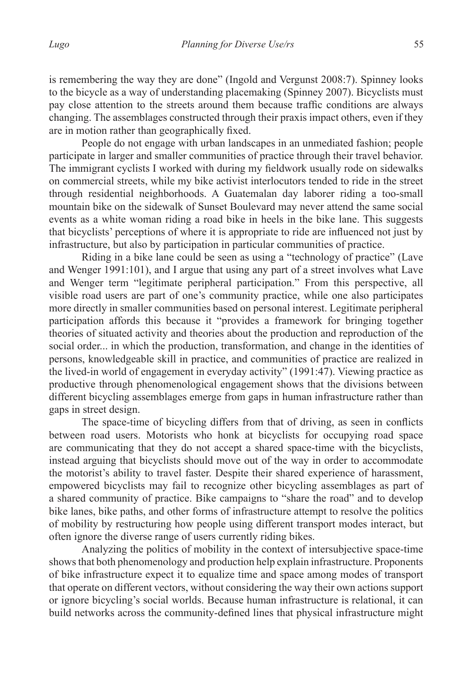is remembering the way they are done" (Ingold and Vergunst 2008:7). Spinney looks to the bicycle as a way of understanding placemaking (Spinney 2007). Bicyclists must pay close attention to the streets around them because traffic conditions are always changing. The assemblages constructed through their praxis impact others, even if they are in motion rather than geographically fixed.

 People do not engage with urban landscapes in an unmediated fashion; people participate in larger and smaller communities of practice through their travel behavior. The immigrant cyclists I worked with during my fieldwork usually rode on sidewalks on commercial streets, while my bike activist interlocutors tended to ride in the street through residential neighborhoods. A Guatemalan day laborer riding a too-small mountain bike on the sidewalk of Sunset Boulevard may never attend the same social events as a white woman riding a road bike in heels in the bike lane. This suggests that bicyclists' perceptions of where it is appropriate to ride are influenced not just by infrastructure, but also by participation in particular communities of practice.

Riding in a bike lane could be seen as using a "technology of practice" (Lave and Wenger 1991:101), and I argue that using any part of a street involves what Lave and Wenger term "legitimate peripheral participation." From this perspective, all visible road users are part of one's community practice, while one also participates more directly in smaller communities based on personal interest. Legitimate peripheral participation affords this because it "provides a framework for bringing together theories of situated activity and theories about the production and reproduction of the social order... in which the production, transformation, and change in the identities of persons, knowledgeable skill in practice, and communities of practice are realized in the lived-in world of engagement in everyday activity" (1991:47). Viewing practice as productive through phenomenological engagement shows that the divisions between different bicycling assemblages emerge from gaps in human infrastructure rather than gaps in street design.

 The space-time of bicycling differs from that of driving, as seen in conflicts between road users. Motorists who honk at bicyclists for occupying road space are communicating that they do not accept a shared space-time with the bicyclists, instead arguing that bicyclists should move out of the way in order to accommodate the motorist's ability to travel faster. Despite their shared experience of harassment, empowered bicyclists may fail to recognize other bicycling assemblages as part of a shared community of practice. Bike campaigns to "share the road" and to develop bike lanes, bike paths, and other forms of infrastructure attempt to resolve the politics of mobility by restructuring how people using different transport modes interact, but often ignore the diverse range of users currently riding bikes.

Analyzing the politics of mobility in the context of intersubjective space-time shows that both phenomenology and production help explain infrastructure. Proponents of bike infrastructure expect it to equalize time and space among modes of transport that operate on different vectors, without considering the way their own actions support or ignore bicycling's social worlds. Because human infrastructure is relational, it can build networks across the community-defined lines that physical infrastructure might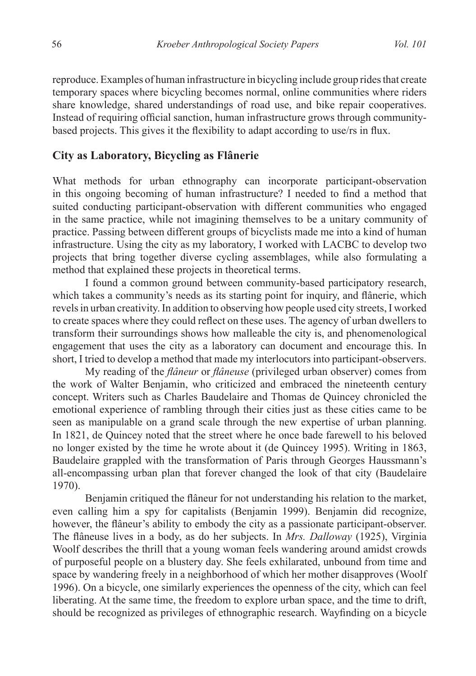reproduce. Examples of human infrastructure in bicycling include group rides that create temporary spaces where bicycling becomes normal, online communities where riders share knowledge, shared understandings of road use, and bike repair cooperatives. Instead of requiring official sanction, human infrastructure grows through communitybased projects. This gives it the flexibility to adapt according to use/rs in flux.

## **City as Laboratory, Bicycling as Flânerie**

What methods for urban ethnography can incorporate participant-observation in this ongoing becoming of human infrastructure? I needed to find a method that suited conducting participant-observation with different communities who engaged in the same practice, while not imagining themselves to be a unitary community of practice. Passing between different groups of bicyclists made me into a kind of human infrastructure. Using the city as my laboratory, I worked with LACBC to develop two projects that bring together diverse cycling assemblages, while also formulating a method that explained these projects in theoretical terms.

I found a common ground between community-based participatory research, which takes a community's needs as its starting point for inquiry, and flânerie, which revels in urban creativity. In addition to observing how people used city streets, I worked to create spaces where they could reflect on these uses. The agency of urban dwellers to transform their surroundings shows how malleable the city is, and phenomenological engagement that uses the city as a laboratory can document and encourage this. In short, I tried to develop a method that made my interlocutors into participant-observers.

My reading of the *flâneur* or *flâneuse* (privileged urban observer) comes from the work of Walter Benjamin, who criticized and embraced the nineteenth century concept. Writers such as Charles Baudelaire and Thomas de Quincey chronicled the emotional experience of rambling through their cities just as these cities came to be seen as manipulable on a grand scale through the new expertise of urban planning. In 1821, de Quincey noted that the street where he once bade farewell to his beloved no longer existed by the time he wrote about it (de Quincey 1995). Writing in 1863, Baudelaire grappled with the transformation of Paris through Georges Haussmann's all-encompassing urban plan that forever changed the look of that city (Baudelaire 1970).

 Benjamin critiqued the flâneur for not understanding his relation to the market, even calling him a spy for capitalists (Benjamin 1999). Benjamin did recognize, however, the flâneur's ability to embody the city as a passionate participant-observer. The flâneuse lives in a body, as do her subjects. In *Mrs. Dalloway* (1925), Virginia Woolf describes the thrill that a young woman feels wandering around amidst crowds of purposeful people on a blustery day. She feels exhilarated, unbound from time and space by wandering freely in a neighborhood of which her mother disapproves (Woolf 1996). On a bicycle, one similarly experiences the openness of the city, which can feel liberating. At the same time, the freedom to explore urban space, and the time to drift, should be recognized as privileges of ethnographic research. Wayfinding on a bicycle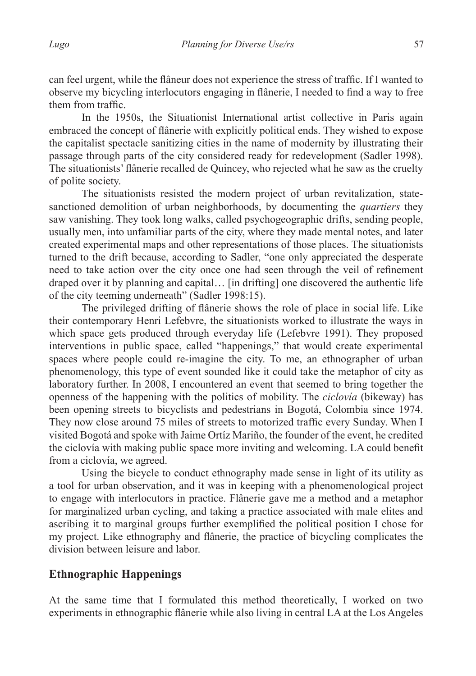can feel urgent, while the flâneur does not experience the stress of traffic. If I wanted to observe my bicycling interlocutors engaging in flânerie, I needed to find a way to free them from traffic.

In the 1950s, the Situationist International artist collective in Paris again embraced the concept of flânerie with explicitly political ends. They wished to expose the capitalist spectacle sanitizing cities in the name of modernity by illustrating their passage through parts of the city considered ready for redevelopment (Sadler 1998). The situationists' flânerie recalled de Quincey, who rejected what he saw as the cruelty of polite society.

The situationists resisted the modern project of urban revitalization, statesanctioned demolition of urban neighborhoods, by documenting the *quartiers* they saw vanishing. They took long walks, called psychogeographic drifts, sending people, usually men, into unfamiliar parts of the city, where they made mental notes, and later created experimental maps and other representations of those places. The situationists turned to the drift because, according to Sadler, "one only appreciated the desperate need to take action over the city once one had seen through the veil of refinement draped over it by planning and capital… [in drifting] one discovered the authentic life of the city teeming underneath" (Sadler 1998:15).

 The privileged drifting of flânerie shows the role of place in social life. Like their contemporary Henri Lefebvre, the situationists worked to illustrate the ways in which space gets produced through everyday life (Lefebvre 1991). They proposed interventions in public space, called "happenings," that would create experimental spaces where people could re-imagine the city. To me, an ethnographer of urban phenomenology, this type of event sounded like it could take the metaphor of city as laboratory further. In 2008, I encountered an event that seemed to bring together the openness of the happening with the politics of mobility. The *ciclovía* (bikeway) has been opening streets to bicyclists and pedestrians in Bogotá, Colombia since 1974. They now close around 75 miles of streets to motorized traffic every Sunday. When I visited Bogotá and spoke with Jaime Ortíz Mariño, the founder of the event, he credited the ciclovía with making public space more inviting and welcoming. LA could benefit from a ciclovía, we agreed.

Using the bicycle to conduct ethnography made sense in light of its utility as a tool for urban observation, and it was in keeping with a phenomenological project to engage with interlocutors in practice. Flânerie gave me a method and a metaphor for marginalized urban cycling, and taking a practice associated with male elites and ascribing it to marginal groups further exemplified the political position I chose for my project. Like ethnography and flânerie, the practice of bicycling complicates the division between leisure and labor.

# **Ethnographic Happenings**

At the same time that I formulated this method theoretically, I worked on two experiments in ethnographic flânerie while also living in central LA at the Los Angeles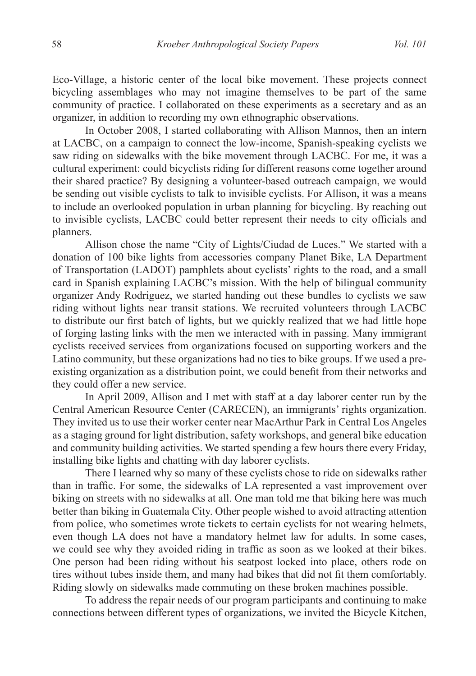Eco-Village, a historic center of the local bike movement. These projects connect bicycling assemblages who may not imagine themselves to be part of the same community of practice. I collaborated on these experiments as a secretary and as an organizer, in addition to recording my own ethnographic observations.

In October 2008, I started collaborating with Allison Mannos, then an intern at LACBC, on a campaign to connect the low-income, Spanish-speaking cyclists we saw riding on sidewalks with the bike movement through LACBC. For me, it was a cultural experiment: could bicyclists riding for different reasons come together around their shared practice? By designing a volunteer-based outreach campaign, we would be sending out visible cyclists to talk to invisible cyclists. For Allison, it was a means to include an overlooked population in urban planning for bicycling. By reaching out to invisible cyclists, LACBC could better represent their needs to city officials and planners.

Allison chose the name "City of Lights/Ciudad de Luces." We started with a donation of 100 bike lights from accessories company Planet Bike, LA Department of Transportation (LADOT) pamphlets about cyclists' rights to the road, and a small card in Spanish explaining LACBC's mission. With the help of bilingual community organizer Andy Rodriguez, we started handing out these bundles to cyclists we saw riding without lights near transit stations. We recruited volunteers through LACBC to distribute our first batch of lights, but we quickly realized that we had little hope of forging lasting links with the men we interacted with in passing. Many immigrant cyclists received services from organizations focused on supporting workers and the Latino community, but these organizations had no ties to bike groups. If we used a preexisting organization as a distribution point, we could benefit from their networks and they could offer a new service.

In April 2009, Allison and I met with staff at a day laborer center run by the Central American Resource Center (CARECEN), an immigrants' rights organization. They invited us to use their worker center near MacArthur Park in Central Los Angeles as a staging ground for light distribution, safety workshops, and general bike education and community building activities. We started spending a few hours there every Friday, installing bike lights and chatting with day laborer cyclists.

There I learned why so many of these cyclists chose to ride on sidewalks rather than in traffic. For some, the sidewalks of LA represented a vast improvement over biking on streets with no sidewalks at all. One man told me that biking here was much better than biking in Guatemala City. Other people wished to avoid attracting attention from police, who sometimes wrote tickets to certain cyclists for not wearing helmets, even though LA does not have a mandatory helmet law for adults. In some cases, we could see why they avoided riding in traffic as soon as we looked at their bikes. One person had been riding without his seatpost locked into place, others rode on tires without tubes inside them, and many had bikes that did not fit them comfortably. Riding slowly on sidewalks made commuting on these broken machines possible.

To address the repair needs of our program participants and continuing to make connections between different types of organizations, we invited the Bicycle Kitchen,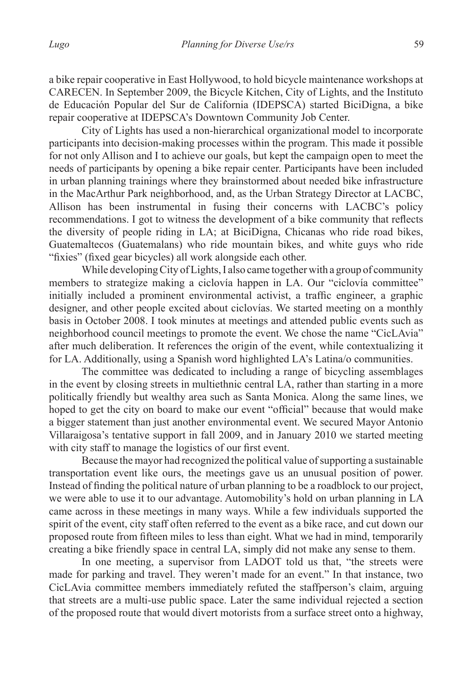a bike repair cooperative in East Hollywood, to hold bicycle maintenance workshops at CARECEN. In September 2009, the Bicycle Kitchen, City of Lights, and the Instituto de Educación Popular del Sur de California (IDEPSCA) started BiciDigna, a bike repair cooperative at IDEPSCA's Downtown Community Job Center.

City of Lights has used a non-hierarchical organizational model to incorporate participants into decision-making processes within the program. This made it possible for not only Allison and I to achieve our goals, but kept the campaign open to meet the needs of participants by opening a bike repair center. Participants have been included in urban planning trainings where they brainstormed about needed bike infrastructure in the MacArthur Park neighborhood, and, as the Urban Strategy Director at LACBC, Allison has been instrumental in fusing their concerns with LACBC's policy recommendations. I got to witness the development of a bike community that reflects the diversity of people riding in LA; at BiciDigna, Chicanas who ride road bikes, Guatemaltecos (Guatemalans) who ride mountain bikes, and white guys who ride "fixies" (fixed gear bicycles) all work alongside each other.

While developing City of Lights, I also came together with a group of community members to strategize making a ciclovía happen in LA. Our "ciclovía committee" initially included a prominent environmental activist, a traffic engineer, a graphic designer, and other people excited about ciclovías. We started meeting on a monthly basis in October 2008. I took minutes at meetings and attended public events such as neighborhood council meetings to promote the event. We chose the name "CicLAvia" after much deliberation. It references the origin of the event, while contextualizing it for LA. Additionally, using a Spanish word highlighted LA's Latina/o communities.

The committee was dedicated to including a range of bicycling assemblages in the event by closing streets in multiethnic central LA, rather than starting in a more politically friendly but wealthy area such as Santa Monica. Along the same lines, we hoped to get the city on board to make our event "official" because that would make a bigger statement than just another environmental event. We secured Mayor Antonio Villaraigosa's tentative support in fall 2009, and in January 2010 we started meeting with city staff to manage the logistics of our first event.

Because the mayor had recognized the political value of supporting a sustainable transportation event like ours, the meetings gave us an unusual position of power. Instead of finding the political nature of urban planning to be a roadblock to our project, we were able to use it to our advantage. Automobility's hold on urban planning in LA came across in these meetings in many ways. While a few individuals supported the spirit of the event, city staff often referred to the event as a bike race, and cut down our proposed route from fifteen miles to less than eight. What we had in mind, temporarily creating a bike friendly space in central LA, simply did not make any sense to them.

In one meeting, a supervisor from LADOT told us that, "the streets were made for parking and travel. They weren't made for an event." In that instance, two CicLAvia committee members immediately refuted the staffperson's claim, arguing that streets are a multi-use public space. Later the same individual rejected a section of the proposed route that would divert motorists from a surface street onto a highway,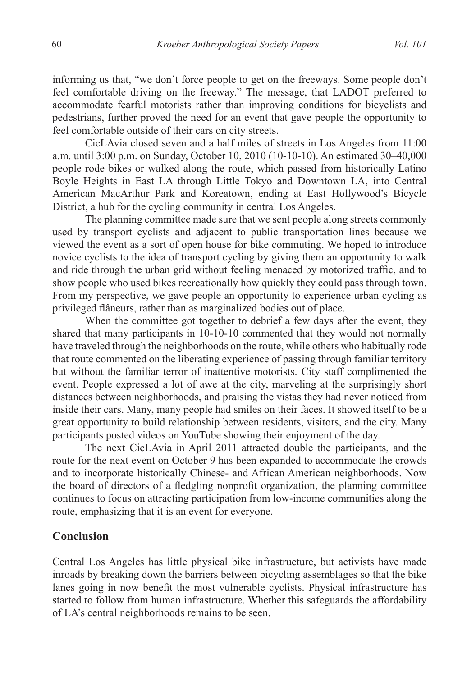informing us that, "we don't force people to get on the freeways. Some people don't feel comfortable driving on the freeway." The message, that LADOT preferred to accommodate fearful motorists rather than improving conditions for bicyclists and pedestrians, further proved the need for an event that gave people the opportunity to feel comfortable outside of their cars on city streets.

CicLAvia closed seven and a half miles of streets in Los Angeles from 11:00 a.m. until 3:00 p.m. on Sunday, October 10, 2010 (10-10-10). An estimated 30–40,000 people rode bikes or walked along the route, which passed from historically Latino Boyle Heights in East LA through Little Tokyo and Downtown LA, into Central American MacArthur Park and Koreatown, ending at East Hollywood's Bicycle District, a hub for the cycling community in central Los Angeles.

The planning committee made sure that we sent people along streets commonly used by transport cyclists and adjacent to public transportation lines because we viewed the event as a sort of open house for bike commuting. We hoped to introduce novice cyclists to the idea of transport cycling by giving them an opportunity to walk and ride through the urban grid without feeling menaced by motorized traffic, and to show people who used bikes recreationally how quickly they could pass through town. From my perspective, we gave people an opportunity to experience urban cycling as privileged flâneurs, rather than as marginalized bodies out of place.

When the committee got together to debrief a few days after the event, they shared that many participants in 10-10-10 commented that they would not normally have traveled through the neighborhoods on the route, while others who habitually rode that route commented on the liberating experience of passing through familiar territory but without the familiar terror of inattentive motorists. City staff complimented the event. People expressed a lot of awe at the city, marveling at the surprisingly short distances between neighborhoods, and praising the vistas they had never noticed from inside their cars. Many, many people had smiles on their faces. It showed itself to be a great opportunity to build relationship between residents, visitors, and the city. Many participants posted videos on YouTube showing their enjoyment of the day.

The next CicLAvia in April 2011 attracted double the participants, and the route for the next event on October 9 has been expanded to accommodate the crowds and to incorporate historically Chinese- and African American neighborhoods. Now the board of directors of a fledgling nonprofit organization, the planning committee continues to focus on attracting participation from low-income communities along the route, emphasizing that it is an event for everyone.

### **Conclusion**

Central Los Angeles has little physical bike infrastructure, but activists have made inroads by breaking down the barriers between bicycling assemblages so that the bike lanes going in now benefit the most vulnerable cyclists. Physical infrastructure has started to follow from human infrastructure. Whether this safeguards the affordability of LA's central neighborhoods remains to be seen.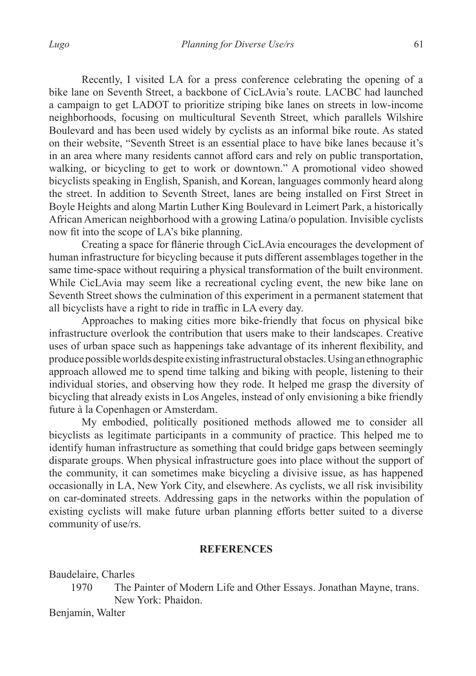Recently, I visited LA for a press conference celebrating the opening of a bike lane on Seventh Street, a backbone of CicLAvia's route. LACBC had launched a campaign to get LADOT to prioritize striping bike lanes on streets in low-income neighborhoods, focusing on multicultural Seventh Street, which parallels Wilshire Boulevard and has been used widely by cyclists as an informal bike route. As stated on their website, "Seventh Street is an essential place to have bike lanes because it's in an area where many residents cannot afford cars and rely on public transportation, walking, or bicycling to get to work or downtown." A promotional video showed bicyclists speaking in English, Spanish, and Korean, languages commonly heard along the street. In addition to Seventh Street, lanes are being installed on First Street in Boyle Heights and along Martin Luther King Boulevard in Leimert Park, a historically African American neighborhood with a growing Latina/o population. Invisible cyclists now fit into the scope of LA's bike planning.

 Creating a space for flânerie through CicLAvia encourages the development of human infrastructure for bicycling because it puts different assemblages together in the same time-space without requiring a physical transformation of the built environment. While CicLAvia may seem like a recreational cycling event, the new bike lane on Seventh Street shows the culmination of this experiment in a permanent statement that all bicyclists have a right to ride in traffic in LA every day.

Approaches to making cities more bike-friendly that focus on physical bike infrastructure overlook the contribution that users make to their landscapes. Creative uses of urban space such as happenings take advantage of its inherent flexibility, and produce possible worlds despite existing infrastructural obstacles. Using an ethnographic approach allowed me to spend time talking and biking with people, listening to their individual stories, and observing how they rode. It helped me grasp the diversity of bicycling that already exists in Los Angeles, instead of only envisioning a bike friendly future à la Copenhagen or Amsterdam.

My embodied, politically positioned methods allowed me to consider all bicyclists as legitimate participants in a community of practice. This helped me to identify human infrastructure as something that could bridge gaps between seemingly disparate groups. When physical infrastructure goes into place without the support of the community, it can sometimes make bicycling a divisive issue, as has happened occasionally in LA, New York City, and elsewhere. As cyclists, we all risk invisibility on car-dominated streets. Addressing gaps in the networks within the population of existing cyclists will make future urban planning efforts better suited to a diverse community of use/rs.

#### **REFERENCES**

Baudelaire, Charles

1970 The Painter of Modern Life and Other Essays. Jonathan Mayne, trans. New York: Phaidon.

Benjamin, Walter

61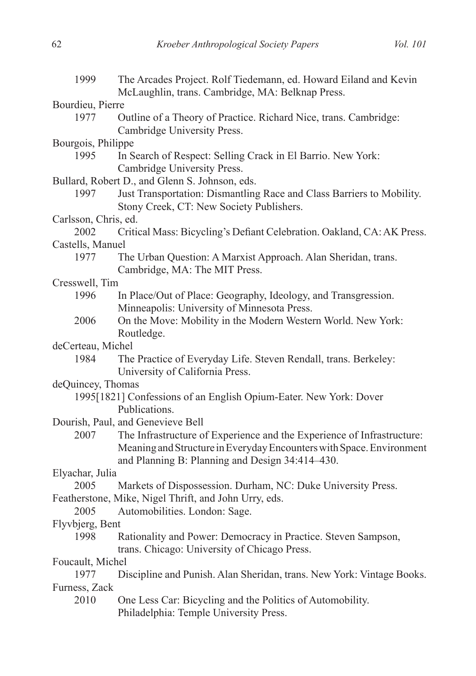| 1999                                           | The Arcades Project. Rolf Tiedemann, ed. Howard Eiland and Kevin<br>McLaughlin, trans. Cambridge, MA: Belknap Press.                                                                              |  |
|------------------------------------------------|---------------------------------------------------------------------------------------------------------------------------------------------------------------------------------------------------|--|
| Bourdieu, Pierre                               |                                                                                                                                                                                                   |  |
| 1977                                           | Outline of a Theory of Practice. Richard Nice, trans. Cambridge:<br>Cambridge University Press.                                                                                                   |  |
| Bourgois, Philippe                             |                                                                                                                                                                                                   |  |
| 1995                                           | In Search of Respect: Selling Crack in El Barrio. New York:<br>Cambridge University Press.                                                                                                        |  |
| Bullard, Robert D., and Glenn S. Johnson, eds. |                                                                                                                                                                                                   |  |
| 1997                                           | Just Transportation: Dismantling Race and Class Barriers to Mobility.<br>Stony Creek, CT: New Society Publishers.                                                                                 |  |
| Carlsson, Chris, ed.                           |                                                                                                                                                                                                   |  |
| 2002                                           | Critical Mass: Bicycling's Defiant Celebration. Oakland, CA: AK Press.                                                                                                                            |  |
| Castells, Manuel                               |                                                                                                                                                                                                   |  |
| 1977                                           | The Urban Question: A Marxist Approach. Alan Sheridan, trans.<br>Cambridge, MA: The MIT Press.                                                                                                    |  |
| Cresswell, Tim                                 |                                                                                                                                                                                                   |  |
| 1996                                           | In Place/Out of Place: Geography, Ideology, and Transgression.                                                                                                                                    |  |
|                                                | Minneapolis: University of Minnesota Press.                                                                                                                                                       |  |
| 2006                                           | On the Move: Mobility in the Modern Western World. New York:                                                                                                                                      |  |
|                                                | Routledge.                                                                                                                                                                                        |  |
| deCerteau, Michel                              |                                                                                                                                                                                                   |  |
| 1984                                           | The Practice of Everyday Life. Steven Rendall, trans. Berkeley:<br>University of California Press.                                                                                                |  |
| deQuincey, Thomas                              |                                                                                                                                                                                                   |  |
|                                                | 1995[1821] Confessions of an English Opium-Eater. New York: Dover<br>Publications.                                                                                                                |  |
|                                                | Dourish, Paul, and Genevieve Bell                                                                                                                                                                 |  |
| 2007                                           | The Infrastructure of Experience and the Experience of Infrastructure:<br>Meaning and Structure in Everyday Encounters with Space. Environment<br>and Planning B: Planning and Design 34:414-430. |  |
| Elyachar, Julia                                |                                                                                                                                                                                                   |  |
| 2005                                           | Markets of Dispossession. Durham, NC: Duke University Press.                                                                                                                                      |  |
| 2005                                           | Featherstone, Mike, Nigel Thrift, and John Urry, eds.<br>Automobilities. London: Sage.                                                                                                            |  |
| Flyvbjerg, Bent                                |                                                                                                                                                                                                   |  |
| 1998                                           | Rationality and Power: Democracy in Practice. Steven Sampson,<br>trans. Chicago: University of Chicago Press.                                                                                     |  |
| Foucault, Michel                               |                                                                                                                                                                                                   |  |
| 1977                                           | Discipline and Punish. Alan Sheridan, trans. New York: Vintage Books.                                                                                                                             |  |
| Furness, Zack                                  |                                                                                                                                                                                                   |  |
| 2010                                           | One Less Car: Bicycling and the Politics of Automobility.<br>Philadelphia: Temple University Press.                                                                                               |  |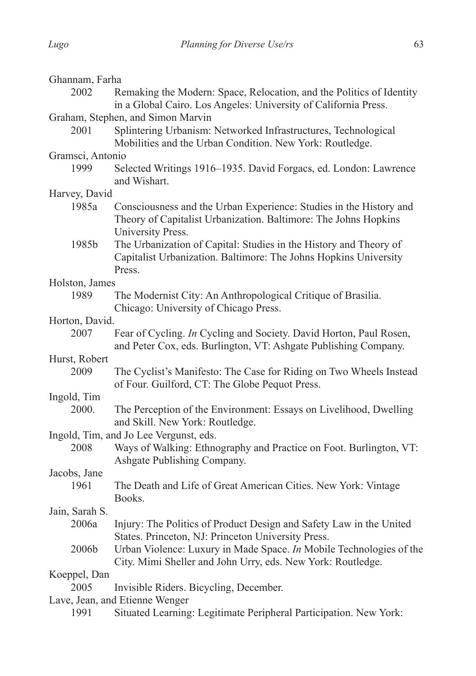| Ghannam, Farha                         |                                                                                                                                                            |  |
|----------------------------------------|------------------------------------------------------------------------------------------------------------------------------------------------------------|--|
| 2002                                   | Remaking the Modern: Space, Relocation, and the Politics of Identity                                                                                       |  |
|                                        | in a Global Cairo. Los Angeles: University of California Press.                                                                                            |  |
|                                        | Graham, Stephen, and Simon Marvin                                                                                                                          |  |
| 2001                                   | Splintering Urbanism: Networked Infrastructures, Technological<br>Mobilities and the Urban Condition. New York: Routledge.                                 |  |
| Gramsci, Antonio                       |                                                                                                                                                            |  |
| 1999                                   | Selected Writings 1916–1935. David Forgacs, ed. London: Lawrence<br>and Wishart.                                                                           |  |
| Harvey, David                          |                                                                                                                                                            |  |
| 1985a                                  | Consciousness and the Urban Experience: Studies in the History and<br>Theory of Capitalist Urbanization. Baltimore: The Johns Hopkins<br>University Press. |  |
| 1985b                                  | The Urbanization of Capital: Studies in the History and Theory of<br>Capitalist Urbanization. Baltimore: The Johns Hopkins University<br>Press.            |  |
| Holston, James                         |                                                                                                                                                            |  |
| 1989                                   | The Modernist City: An Anthropological Critique of Brasilia.<br>Chicago: University of Chicago Press.                                                      |  |
| Horton, David.                         |                                                                                                                                                            |  |
| 2007                                   | Fear of Cycling. In Cycling and Society. David Horton, Paul Rosen,<br>and Peter Cox, eds. Burlington, VT: Ashgate Publishing Company.                      |  |
| Hurst, Robert                          |                                                                                                                                                            |  |
| 2009                                   | The Cyclist's Manifesto: The Case for Riding on Two Wheels Instead<br>of Four. Guilford, CT: The Globe Pequot Press.                                       |  |
| Ingold, Tim                            |                                                                                                                                                            |  |
| 2000.                                  | The Perception of the Environment: Essays on Livelihood, Dwelling<br>and Skill. New York: Routledge.                                                       |  |
| Ingold, Tim, and Jo Lee Vergunst, eds. |                                                                                                                                                            |  |
| 2008                                   | Ways of Walking: Ethnography and Practice on Foot. Burlington, VT:<br>Ashgate Publishing Company.                                                          |  |
| Jacobs, Jane                           |                                                                                                                                                            |  |
| 1961                                   | The Death and Life of Great American Cities. New York: Vintage<br>Books.                                                                                   |  |
| Jain, Sarah S.                         |                                                                                                                                                            |  |
| 2006a                                  | Injury: The Politics of Product Design and Safety Law in the United<br>States. Princeton, NJ: Princeton University Press.                                  |  |
| 2006b                                  | Urban Violence: Luxury in Made Space. In Mobile Technologies of the<br>City. Mimi Sheller and John Urry, eds. New York: Routledge.                         |  |
| Koeppel, Dan                           |                                                                                                                                                            |  |
| 2005                                   | Invisible Riders. Bicycling, December.                                                                                                                     |  |
| Lave, Jean, and Etienne Wenger         |                                                                                                                                                            |  |
| 1991                                   | Situated Learning: Legitimate Peripheral Participation. New York:                                                                                          |  |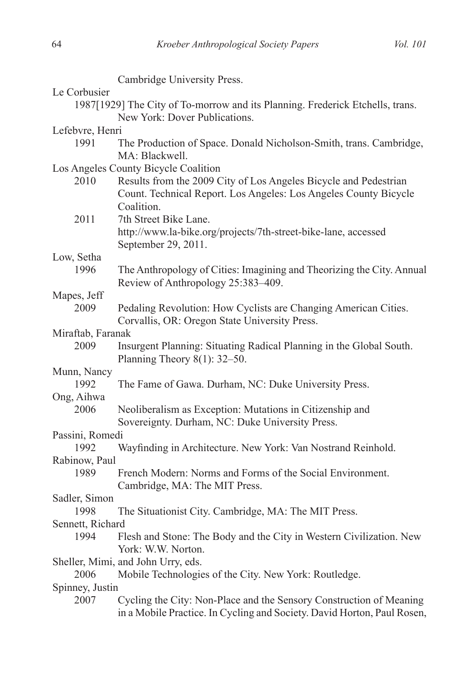|                                      | Cambridge University Press.                                                   |  |
|--------------------------------------|-------------------------------------------------------------------------------|--|
| Le Corbusier                         |                                                                               |  |
|                                      | 1987[1929] The City of To-morrow and its Planning. Frederick Etchells, trans. |  |
|                                      | New York: Dover Publications.                                                 |  |
| Lefebvre, Henri                      |                                                                               |  |
| 1991                                 | The Production of Space. Donald Nicholson-Smith, trans. Cambridge,            |  |
|                                      | MA: Blackwell.                                                                |  |
| Los Angeles County Bicycle Coalition |                                                                               |  |
| 2010                                 | Results from the 2009 City of Los Angeles Bicycle and Pedestrian              |  |
|                                      | Count. Technical Report. Los Angeles: Los Angeles County Bicycle              |  |
|                                      | Coalition.                                                                    |  |
| 2011                                 | 7th Street Bike Lane.                                                         |  |
|                                      | http://www.la-bike.org/projects/7th-street-bike-lane, accessed                |  |
|                                      | September 29, 2011.                                                           |  |
| Low, Setha                           |                                                                               |  |
| 1996                                 | The Anthropology of Cities: Imagining and Theorizing the City. Annual         |  |
|                                      | Review of Anthropology 25:383-409.                                            |  |
| Mapes, Jeff                          |                                                                               |  |
| 2009                                 |                                                                               |  |
|                                      | Pedaling Revolution: How Cyclists are Changing American Cities.               |  |
|                                      | Corvallis, OR: Oregon State University Press.                                 |  |
| Miraftab, Faranak                    |                                                                               |  |
| 2009                                 | Insurgent Planning: Situating Radical Planning in the Global South.           |  |
|                                      | Planning Theory $8(1)$ : 32–50.                                               |  |
| Munn, Nancy                          |                                                                               |  |
| 1992                                 | The Fame of Gawa. Durham, NC: Duke University Press.                          |  |
| Ong, Aihwa                           |                                                                               |  |
| 2006                                 | Neoliberalism as Exception: Mutations in Citizenship and                      |  |
|                                      | Sovereignty. Durham, NC: Duke University Press.                               |  |
| Passini, Romedi                      |                                                                               |  |
| 1992                                 | Wayfinding in Architecture. New York: Van Nostrand Reinhold.                  |  |
| Rabinow, Paul                        |                                                                               |  |
| 1989                                 | French Modern: Norms and Forms of the Social Environment.                     |  |
|                                      | Cambridge, MA: The MIT Press.                                                 |  |
| Sadler, Simon                        |                                                                               |  |
| 1998                                 | The Situationist City. Cambridge, MA: The MIT Press.                          |  |
| Sennett, Richard                     |                                                                               |  |
| 1994                                 | Flesh and Stone: The Body and the City in Western Civilization. New           |  |
|                                      | York: W.W. Norton.                                                            |  |
|                                      | Sheller, Mimi, and John Urry, eds.                                            |  |
| 2006                                 | Mobile Technologies of the City. New York: Routledge.                         |  |
| Spinney, Justin                      |                                                                               |  |
| 2007                                 | Cycling the City: Non-Place and the Sensory Construction of Meaning           |  |
|                                      | in a Mobile Practice. In Cycling and Society. David Horton, Paul Rosen,       |  |
|                                      |                                                                               |  |